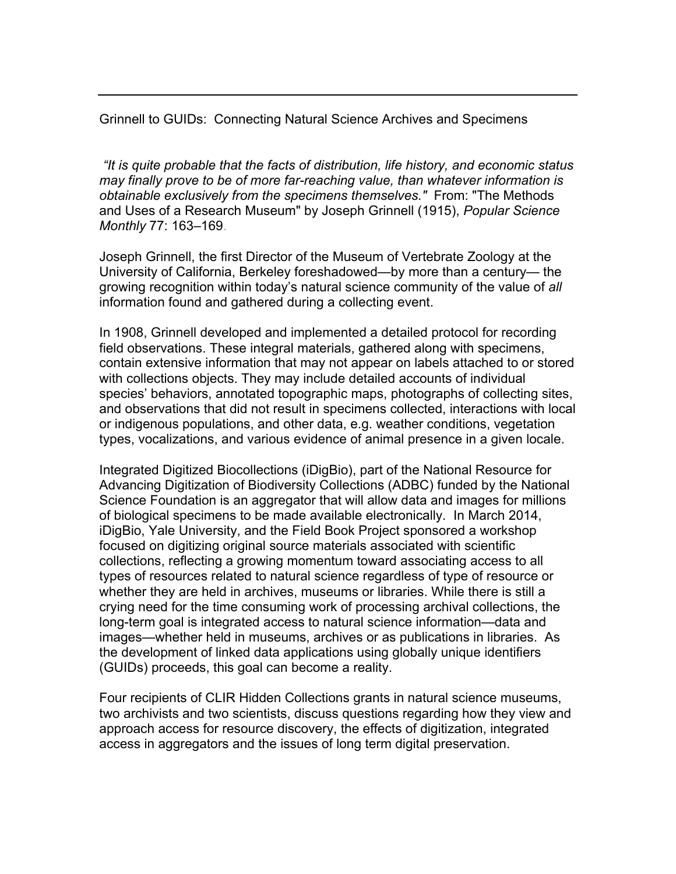Grinnell to GUIDs: Connecting Natural Science Archives and Specimens

*"It is quite probable that the facts of distribution, life history, and economic status may finally prove to be of more far-reaching value, than whatever information is obtainable exclusively from the specimens themselves."* From: "The Methods and Uses of a Research Museum" by Joseph Grinnell (1915), *Popular Science Monthly* 77: 163–169.

Joseph Grinnell, the first Director of the Museum of Vertebrate Zoology at the University of California, Berkeley foreshadowed—by more than a century— the growing recognition within today's natural science community of the value of *all* information found and gathered during a collecting event.

In 1908, Grinnell developed and implemented a detailed protocol for recording field observations. These integral materials, gathered along with specimens, contain extensive information that may not appear on labels attached to or stored with collections objects. They may include detailed accounts of individual species' behaviors, annotated topographic maps, photographs of collecting sites, and observations that did not result in specimens collected, interactions with local or indigenous populations, and other data, e.g. weather conditions, vegetation types, vocalizations, and various evidence of animal presence in a given locale.

Integrated Digitized Biocollections (iDigBio), part of the National Resource for Advancing Digitization of Biodiversity Collections (ADBC) funded by the National Science Foundation is an aggregator that will allow data and images for millions of biological specimens to be made available electronically. In March 2014, iDigBio, Yale University, and the Field Book Project sponsored a workshop focused on digitizing original source materials associated with scientific collections, reflecting a growing momentum toward associating access to all types of resources related to natural science regardless of type of resource or whether they are held in archives, museums or libraries. While there is still a crying need for the time consuming work of processing archival collections, the long-term goal is integrated access to natural science information—data and images—whether held in museums, archives or as publications in libraries. As the development of linked data applications using globally unique identifiers (GUIDs) proceeds, this goal can become a reality.

Four recipients of CLIR Hidden Collections grants in natural science museums, two archivists and two scientists, discuss questions regarding how they view and approach access for resource discovery, the effects of digitization, integrated access in aggregators and the issues of long term digital preservation.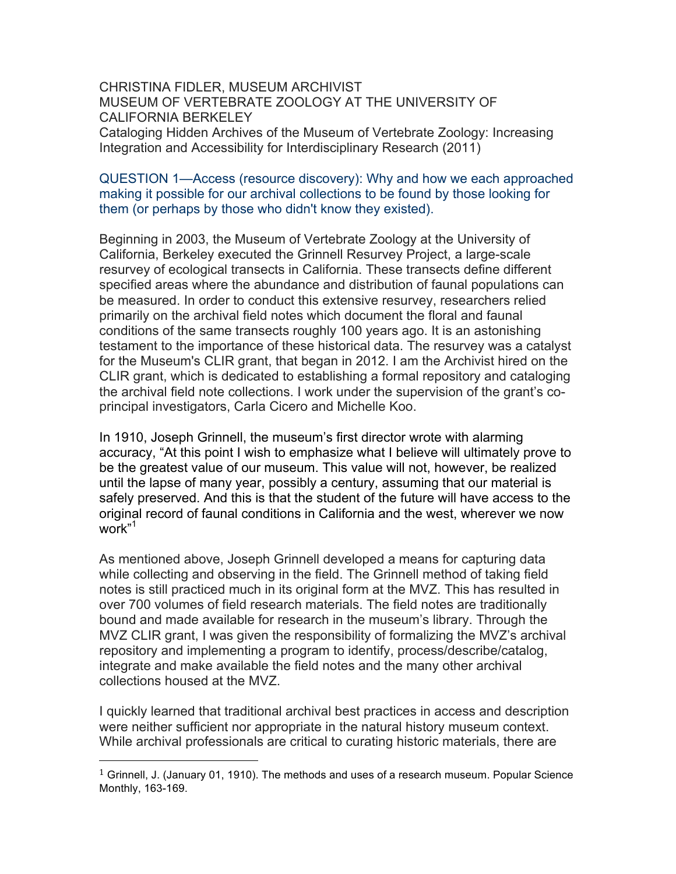CHRISTINA FIDLER, MUSEUM ARCHIVIST MUSEUM OF VERTEBRATE ZOOLOGY AT THE UNIVERSITY OF CALIFORNIA BERKELEY Cataloging Hidden Archives of the Museum of Vertebrate Zoology: Increasing Integration and Accessibility for Interdisciplinary Research (2011)

### QUESTION 1—Access (resource discovery): Why and how we each approached making it possible for our archival collections to be found by those looking for them (or perhaps by those who didn't know they existed).

Beginning in 2003, the Museum of Vertebrate Zoology at the University of California, Berkeley executed the Grinnell Resurvey Project, a large-scale resurvey of ecological transects in California. These transects define different specified areas where the abundance and distribution of faunal populations can be measured. In order to conduct this extensive resurvey, researchers relied primarily on the archival field notes which document the floral and faunal conditions of the same transects roughly 100 years ago. It is an astonishing testament to the importance of these historical data. The resurvey was a catalyst for the Museum's CLIR grant, that began in 2012. I am the Archivist hired on the CLIR grant, which is dedicated to establishing a formal repository and cataloging the archival field note collections. I work under the supervision of the grant's coprincipal investigators, Carla Cicero and Michelle Koo.

In 1910, Joseph Grinnell, the museum's first director wrote with alarming accuracy, "At this point I wish to emphasize what I believe will ultimately prove to be the greatest value of our museum. This value will not, however, be realized until the lapse of many year, possibly a century, assuming that our material is safely preserved. And this is that the student of the future will have access to the original record of faunal conditions in California and the west, wherever we now work"1

As mentioned above, Joseph Grinnell developed a means for capturing data while collecting and observing in the field. The Grinnell method of taking field notes is still practiced much in its original form at the MVZ. This has resulted in over 700 volumes of field research materials. The field notes are traditionally bound and made available for research in the museum's library. Through the MVZ CLIR grant, I was given the responsibility of formalizing the MVZ's archival repository and implementing a program to identify, process/describe/catalog, integrate and make available the field notes and the many other archival collections housed at the MVZ.

I quickly learned that traditional archival best practices in access and description were neither sufficient nor appropriate in the natural history museum context. While archival professionals are critical to curating historic materials, there are

 

<sup>&</sup>lt;sup>1</sup> Grinnell, J. (January 01, 1910). The methods and uses of a research museum. Popular Science Monthly, 163-169.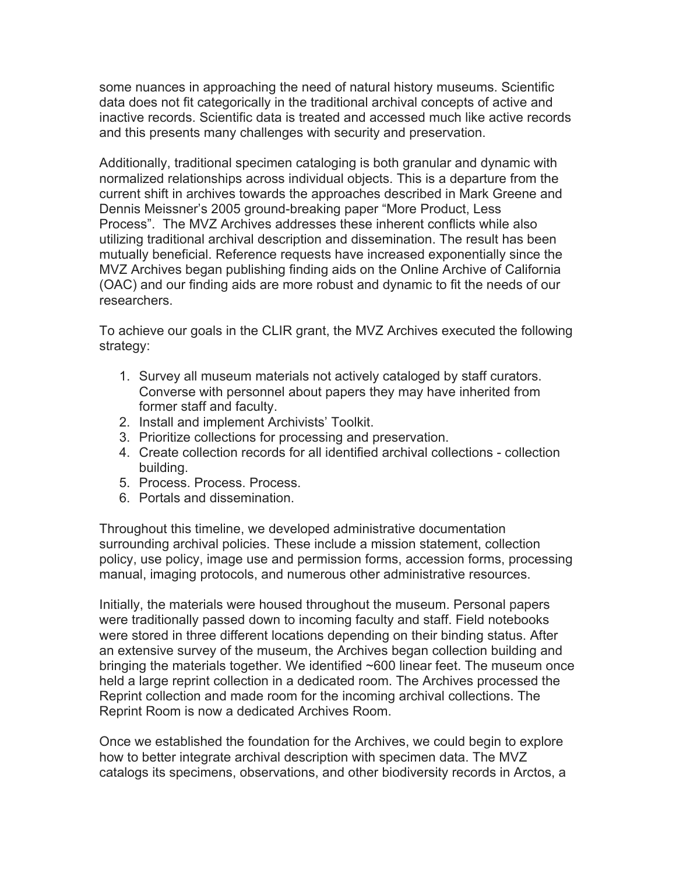some nuances in approaching the need of natural history museums. Scientific data does not fit categorically in the traditional archival concepts of active and inactive records. Scientific data is treated and accessed much like active records and this presents many challenges with security and preservation.

Additionally, traditional specimen cataloging is both granular and dynamic with normalized relationships across individual objects. This is a departure from the current shift in archives towards the approaches described in Mark Greene and Dennis Meissner's 2005 ground-breaking paper "More Product, Less Process". The MVZ Archives addresses these inherent conflicts while also utilizing traditional archival description and dissemination. The result has been mutually beneficial. Reference requests have increased exponentially since the MVZ Archives began publishing finding aids on the Online Archive of California (OAC) and our finding aids are more robust and dynamic to fit the needs of our researchers.

To achieve our goals in the CLIR grant, the MVZ Archives executed the following strategy:

- 1. Survey all museum materials not actively cataloged by staff curators. Converse with personnel about papers they may have inherited from former staff and faculty.
- 2. Install and implement Archivists' Toolkit.
- 3. Prioritize collections for processing and preservation.
- 4. Create collection records for all identified archival collections collection building.
- 5. Process. Process. Process.
- 6. Portals and dissemination.

Throughout this timeline, we developed administrative documentation surrounding archival policies. These include a mission statement, collection policy, use policy, image use and permission forms, accession forms, processing manual, imaging protocols, and numerous other administrative resources.

Initially, the materials were housed throughout the museum. Personal papers were traditionally passed down to incoming faculty and staff. Field notebooks were stored in three different locations depending on their binding status. After an extensive survey of the museum, the Archives began collection building and bringing the materials together. We identified ~600 linear feet. The museum once held a large reprint collection in a dedicated room. The Archives processed the Reprint collection and made room for the incoming archival collections. The Reprint Room is now a dedicated Archives Room.

Once we established the foundation for the Archives, we could begin to explore how to better integrate archival description with specimen data. The MVZ catalogs its specimens, observations, and other biodiversity records in Arctos, a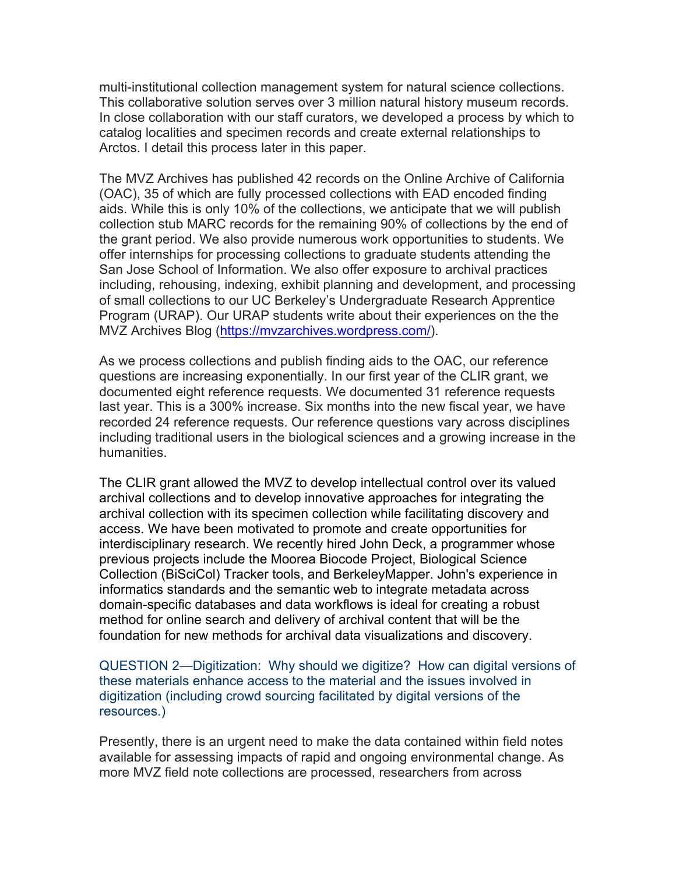multi-institutional collection management system for natural science collections. This collaborative solution serves over 3 million natural history museum records. In close collaboration with our staff curators, we developed a process by which to catalog localities and specimen records and create external relationships to Arctos. I detail this process later in this paper.

The MVZ Archives has published 42 records on the Online Archive of California (OAC), 35 of which are fully processed collections with EAD encoded finding aids. While this is only 10% of the collections, we anticipate that we will publish collection stub MARC records for the remaining 90% of collections by the end of the grant period. We also provide numerous work opportunities to students. We offer internships for processing collections to graduate students attending the San Jose School of Information. We also offer exposure to archival practices including, rehousing, indexing, exhibit planning and development, and processing of small collections to our UC Berkeley's Undergraduate Research Apprentice Program (URAP). Our URAP students write about their experiences on the the MVZ Archives Blog (https://mvzarchives.wordpress.com/).

As we process collections and publish finding aids to the OAC, our reference questions are increasing exponentially. In our first year of the CLIR grant, we documented eight reference requests. We documented 31 reference requests last year. This is a 300% increase. Six months into the new fiscal year, we have recorded 24 reference requests. Our reference questions vary across disciplines including traditional users in the biological sciences and a growing increase in the humanities.

The CLIR grant allowed the MVZ to develop intellectual control over its valued archival collections and to develop innovative approaches for integrating the archival collection with its specimen collection while facilitating discovery and access. We have been motivated to promote and create opportunities for interdisciplinary research. We recently hired John Deck, a programmer whose previous projects include the Moorea Biocode Project, Biological Science Collection (BiSciCol) Tracker tools, and BerkeleyMapper. John's experience in informatics standards and the semantic web to integrate metadata across domain-specific databases and data workflows is ideal for creating a robust method for online search and delivery of archival content that will be the foundation for new methods for archival data visualizations and discovery.

QUESTION 2—Digitization: Why should we digitize? How can digital versions of these materials enhance access to the material and the issues involved in digitization (including crowd sourcing facilitated by digital versions of the resources.)

Presently, there is an urgent need to make the data contained within field notes available for assessing impacts of rapid and ongoing environmental change. As more MVZ field note collections are processed, researchers from across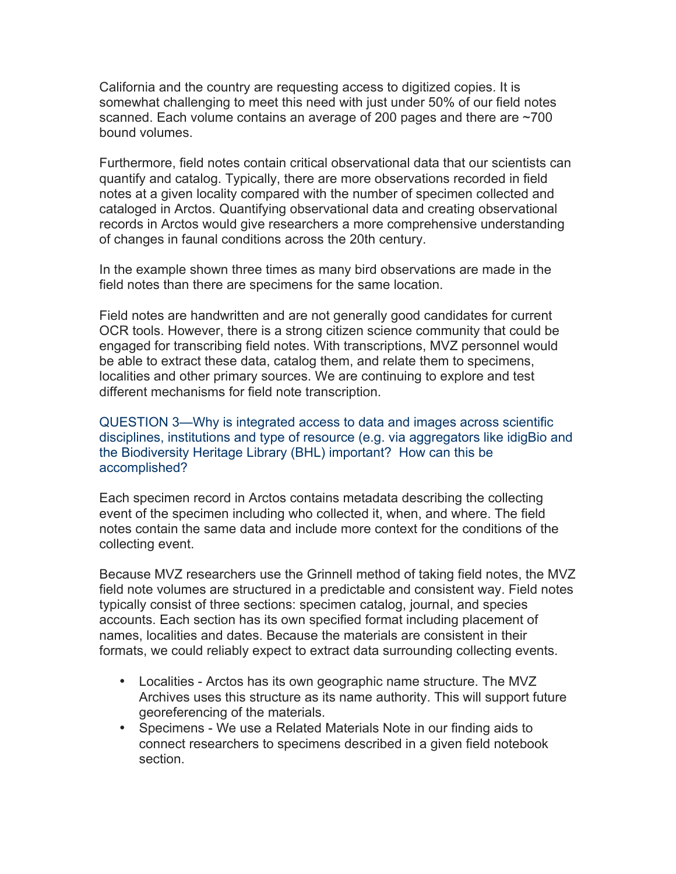California and the country are requesting access to digitized copies. It is somewhat challenging to meet this need with just under 50% of our field notes scanned. Each volume contains an average of 200 pages and there are ~700 bound volumes.

Furthermore, field notes contain critical observational data that our scientists can quantify and catalog. Typically, there are more observations recorded in field notes at a given locality compared with the number of specimen collected and cataloged in Arctos. Quantifying observational data and creating observational records in Arctos would give researchers a more comprehensive understanding of changes in faunal conditions across the 20th century.

In the example shown three times as many bird observations are made in the field notes than there are specimens for the same location.

Field notes are handwritten and are not generally good candidates for current OCR tools. However, there is a strong citizen science community that could be engaged for transcribing field notes. With transcriptions, MVZ personnel would be able to extract these data, catalog them, and relate them to specimens, localities and other primary sources. We are continuing to explore and test different mechanisms for field note transcription.

QUESTION 3—Why is integrated access to data and images across scientific disciplines, institutions and type of resource (e.g. via aggregators like idigBio and the Biodiversity Heritage Library (BHL) important? How can this be accomplished?

Each specimen record in Arctos contains metadata describing the collecting event of the specimen including who collected it, when, and where. The field notes contain the same data and include more context for the conditions of the collecting event.

Because MVZ researchers use the Grinnell method of taking field notes, the MVZ field note volumes are structured in a predictable and consistent way. Field notes typically consist of three sections: specimen catalog, journal, and species accounts. Each section has its own specified format including placement of names, localities and dates. Because the materials are consistent in their formats, we could reliably expect to extract data surrounding collecting events.

- Localities Arctos has its own geographic name structure. The MVZ Archives uses this structure as its name authority. This will support future georeferencing of the materials.
- Specimens We use a Related Materials Note in our finding aids to connect researchers to specimens described in a given field notebook section.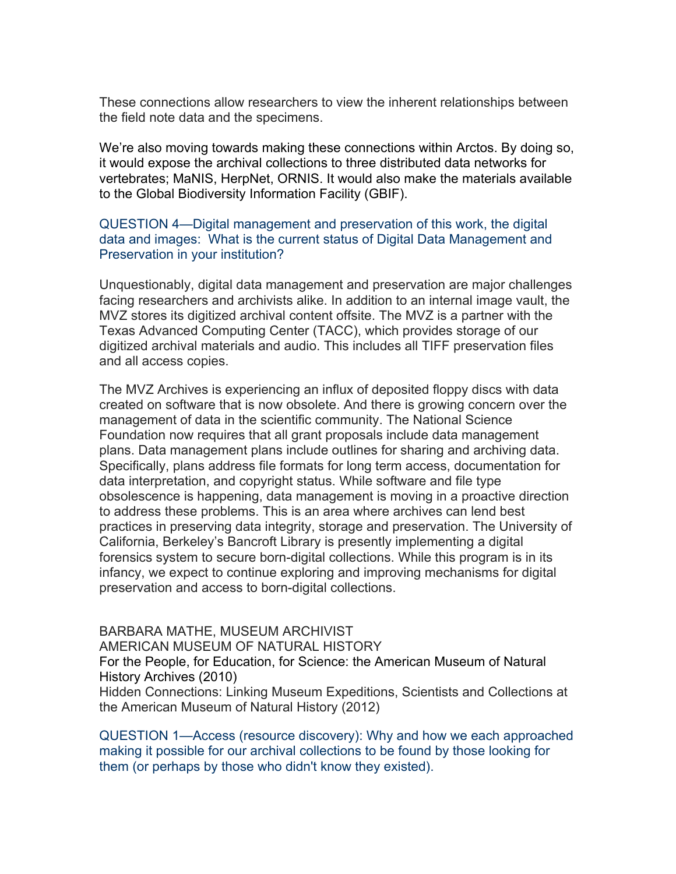These connections allow researchers to view the inherent relationships between the field note data and the specimens.

We're also moving towards making these connections within Arctos. By doing so, it would expose the archival collections to three distributed data networks for vertebrates; MaNIS, HerpNet, ORNIS. It would also make the materials available to the Global Biodiversity Information Facility (GBIF).

# QUESTION 4—Digital management and preservation of this work, the digital data and images: What is the current status of Digital Data Management and Preservation in your institution?

Unquestionably, digital data management and preservation are major challenges facing researchers and archivists alike. In addition to an internal image vault, the MVZ stores its digitized archival content offsite. The MVZ is a partner with the Texas Advanced Computing Center (TACC), which provides storage of our digitized archival materials and audio. This includes all TIFF preservation files and all access copies.

The MVZ Archives is experiencing an influx of deposited floppy discs with data created on software that is now obsolete. And there is growing concern over the management of data in the scientific community. The National Science Foundation now requires that all grant proposals include data management plans. Data management plans include outlines for sharing and archiving data. Specifically, plans address file formats for long term access, documentation for data interpretation, and copyright status. While software and file type obsolescence is happening, data management is moving in a proactive direction to address these problems. This is an area where archives can lend best practices in preserving data integrity, storage and preservation. The University of California, Berkeley's Bancroft Library is presently implementing a digital forensics system to secure born-digital collections. While this program is in its infancy, we expect to continue exploring and improving mechanisms for digital preservation and access to born-digital collections.

### BARBARA MATHE, MUSEUM ARCHIVIST

AMERICAN MUSEUM OF NATURAL HISTORY

For the People, for Education, for Science: the American Museum of Natural History Archives (2010)

Hidden Connections: Linking Museum Expeditions, Scientists and Collections at the American Museum of Natural History (2012)

QUESTION 1—Access (resource discovery): Why and how we each approached making it possible for our archival collections to be found by those looking for them (or perhaps by those who didn't know they existed).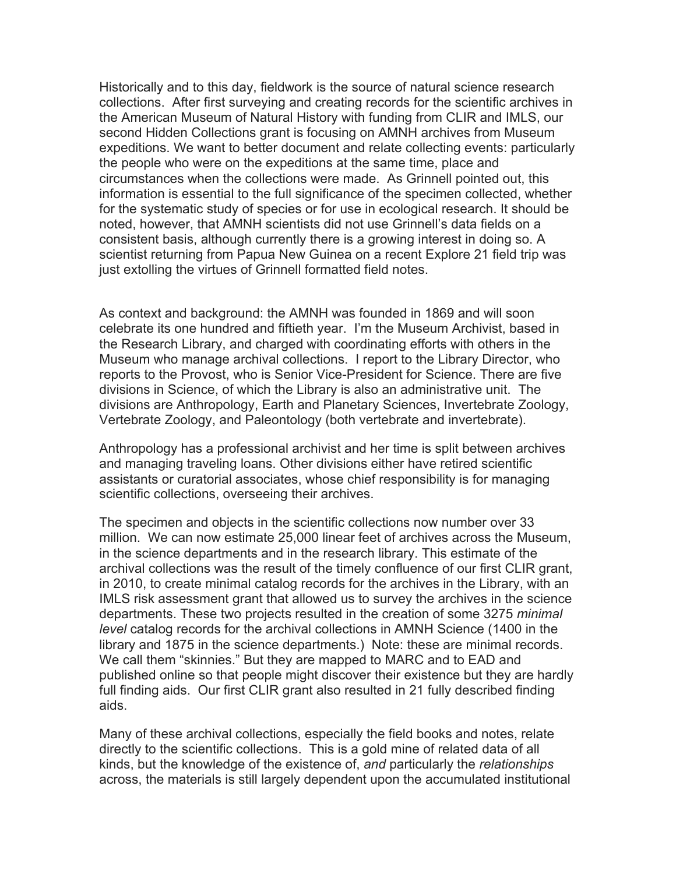Historically and to this day, fieldwork is the source of natural science research collections. After first surveying and creating records for the scientific archives in the American Museum of Natural History with funding from CLIR and IMLS, our second Hidden Collections grant is focusing on AMNH archives from Museum expeditions. We want to better document and relate collecting events: particularly the people who were on the expeditions at the same time, place and circumstances when the collections were made. As Grinnell pointed out, this information is essential to the full significance of the specimen collected, whether for the systematic study of species or for use in ecological research. It should be noted, however, that AMNH scientists did not use Grinnell's data fields on a consistent basis, although currently there is a growing interest in doing so. A scientist returning from Papua New Guinea on a recent Explore 21 field trip was just extolling the virtues of Grinnell formatted field notes.

As context and background: the AMNH was founded in 1869 and will soon celebrate its one hundred and fiftieth year. I'm the Museum Archivist, based in the Research Library, and charged with coordinating efforts with others in the Museum who manage archival collections. I report to the Library Director, who reports to the Provost, who is Senior Vice-President for Science. There are five divisions in Science, of which the Library is also an administrative unit. The divisions are Anthropology, Earth and Planetary Sciences, Invertebrate Zoology, Vertebrate Zoology, and Paleontology (both vertebrate and invertebrate).

Anthropology has a professional archivist and her time is split between archives and managing traveling loans. Other divisions either have retired scientific assistants or curatorial associates, whose chief responsibility is for managing scientific collections, overseeing their archives.

The specimen and objects in the scientific collections now number over 33 million. We can now estimate 25,000 linear feet of archives across the Museum, in the science departments and in the research library. This estimate of the archival collections was the result of the timely confluence of our first CLIR grant, in 2010, to create minimal catalog records for the archives in the Library, with an IMLS risk assessment grant that allowed us to survey the archives in the science departments. These two projects resulted in the creation of some 3275 *minimal level* catalog records for the archival collections in AMNH Science (1400 in the library and 1875 in the science departments.) Note: these are minimal records. We call them "skinnies." But they are mapped to MARC and to EAD and published online so that people might discover their existence but they are hardly full finding aids. Our first CLIR grant also resulted in 21 fully described finding aids.

Many of these archival collections, especially the field books and notes, relate directly to the scientific collections. This is a gold mine of related data of all kinds, but the knowledge of the existence of, *and* particularly the *relationships* across, the materials is still largely dependent upon the accumulated institutional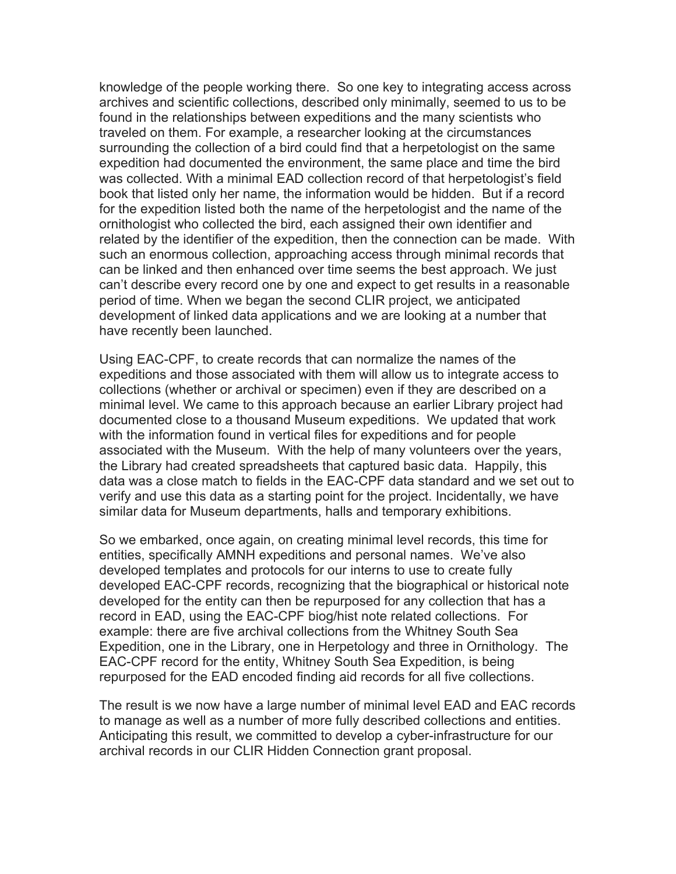knowledge of the people working there. So one key to integrating access across archives and scientific collections, described only minimally, seemed to us to be found in the relationships between expeditions and the many scientists who traveled on them. For example, a researcher looking at the circumstances surrounding the collection of a bird could find that a herpetologist on the same expedition had documented the environment, the same place and time the bird was collected. With a minimal EAD collection record of that herpetologist's field book that listed only her name, the information would be hidden. But if a record for the expedition listed both the name of the herpetologist and the name of the ornithologist who collected the bird, each assigned their own identifier and related by the identifier of the expedition, then the connection can be made. With such an enormous collection, approaching access through minimal records that can be linked and then enhanced over time seems the best approach. We just can't describe every record one by one and expect to get results in a reasonable period of time. When we began the second CLIR project, we anticipated development of linked data applications and we are looking at a number that have recently been launched.

Using EAC-CPF, to create records that can normalize the names of the expeditions and those associated with them will allow us to integrate access to collections (whether or archival or specimen) even if they are described on a minimal level. We came to this approach because an earlier Library project had documented close to a thousand Museum expeditions. We updated that work with the information found in vertical files for expeditions and for people associated with the Museum. With the help of many volunteers over the years, the Library had created spreadsheets that captured basic data. Happily, this data was a close match to fields in the EAC-CPF data standard and we set out to verify and use this data as a starting point for the project. Incidentally, we have similar data for Museum departments, halls and temporary exhibitions.

So we embarked, once again, on creating minimal level records, this time for entities, specifically AMNH expeditions and personal names. We've also developed templates and protocols for our interns to use to create fully developed EAC-CPF records, recognizing that the biographical or historical note developed for the entity can then be repurposed for any collection that has a record in EAD, using the EAC-CPF biog/hist note related collections. For example: there are five archival collections from the Whitney South Sea Expedition, one in the Library, one in Herpetology and three in Ornithology. The EAC-CPF record for the entity, Whitney South Sea Expedition, is being repurposed for the EAD encoded finding aid records for all five collections.

The result is we now have a large number of minimal level EAD and EAC records to manage as well as a number of more fully described collections and entities. Anticipating this result, we committed to develop a cyber-infrastructure for our archival records in our CLIR Hidden Connection grant proposal.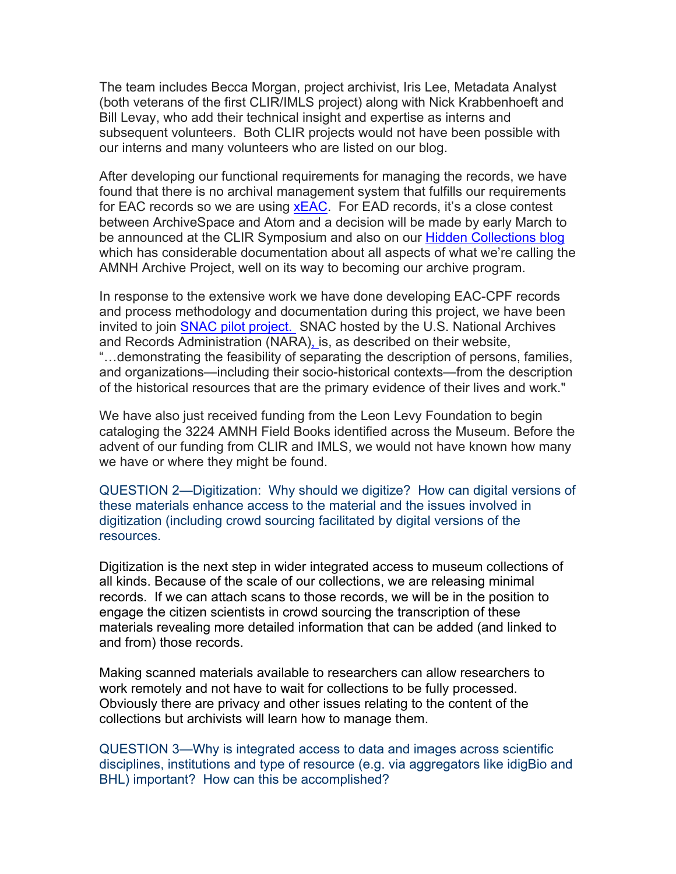The team includes Becca Morgan, project archivist, Iris Lee, Metadata Analyst (both veterans of the first CLIR/IMLS project) along with Nick Krabbenhoeft and Bill Levay, who add their technical insight and expertise as interns and subsequent volunteers. Both CLIR projects would not have been possible with our interns and many volunteers who are listed on our blog.

After developing our functional requirements for managing the records, we have found that there is no archival management system that fulfills our requirements for EAC records so we are using **xEAC**. For EAD records, it's a close contest between ArchiveSpace and Atom and a decision will be made by early March to be announced at the CLIR Symposium and also on our Hidden Collections blog which has considerable documentation about all aspects of what we're calling the AMNH Archive Project, well on its way to becoming our archive program.

In response to the extensive work we have done developing EAC-CPF records and process methodology and documentation during this project, we have been invited to join SNAC pilot project. SNAC hosted by the U.S. National Archives and Records Administration (NARA), is, as described on their website, "…demonstrating the feasibility of separating the description of persons, families, and organizations—including their socio-historical contexts—from the description of the historical resources that are the primary evidence of their lives and work."

We have also just received funding from the Leon Levy Foundation to begin cataloging the 3224 AMNH Field Books identified across the Museum. Before the advent of our funding from CLIR and IMLS, we would not have known how many we have or where they might be found.

QUESTION 2—Digitization: Why should we digitize? How can digital versions of these materials enhance access to the material and the issues involved in digitization (including crowd sourcing facilitated by digital versions of the resources.

Digitization is the next step in wider integrated access to museum collections of all kinds. Because of the scale of our collections, we are releasing minimal records. If we can attach scans to those records, we will be in the position to engage the citizen scientists in crowd sourcing the transcription of these materials revealing more detailed information that can be added (and linked to and from) those records.

Making scanned materials available to researchers can allow researchers to work remotely and not have to wait for collections to be fully processed. Obviously there are privacy and other issues relating to the content of the collections but archivists will learn how to manage them.

QUESTION 3—Why is integrated access to data and images across scientific disciplines, institutions and type of resource (e.g. via aggregators like idigBio and BHL) important? How can this be accomplished?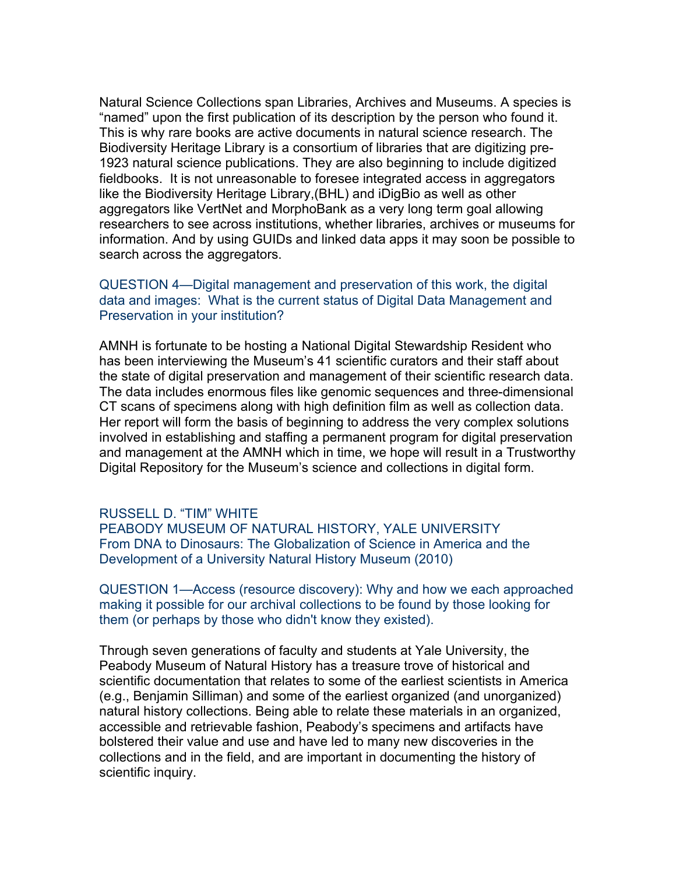Natural Science Collections span Libraries, Archives and Museums. A species is "named" upon the first publication of its description by the person who found it. This is why rare books are active documents in natural science research. The Biodiversity Heritage Library is a consortium of libraries that are digitizing pre-1923 natural science publications. They are also beginning to include digitized fieldbooks. It is not unreasonable to foresee integrated access in aggregators like the Biodiversity Heritage Library,(BHL) and iDigBio as well as other aggregators like VertNet and MorphoBank as a very long term goal allowing researchers to see across institutions, whether libraries, archives or museums for information. And by using GUIDs and linked data apps it may soon be possible to search across the aggregators.

# QUESTION 4—Digital management and preservation of this work, the digital data and images: What is the current status of Digital Data Management and Preservation in your institution?

AMNH is fortunate to be hosting a National Digital Stewardship Resident who has been interviewing the Museum's 41 scientific curators and their staff about the state of digital preservation and management of their scientific research data. The data includes enormous files like genomic sequences and three-dimensional CT scans of specimens along with high definition film as well as collection data. Her report will form the basis of beginning to address the very complex solutions involved in establishing and staffing a permanent program for digital preservation and management at the AMNH which in time, we hope will result in a Trustworthy Digital Repository for the Museum's science and collections in digital form.

#### RUSSELL D. "TIM" WHITE

PEABODY MUSEUM OF NATURAL HISTORY, YALE UNIVERSITY From DNA to Dinosaurs: The Globalization of Science in America and the Development of a University Natural History Museum (2010)

QUESTION 1—Access (resource discovery): Why and how we each approached making it possible for our archival collections to be found by those looking for them (or perhaps by those who didn't know they existed).

Through seven generations of faculty and students at Yale University, the Peabody Museum of Natural History has a treasure trove of historical and scientific documentation that relates to some of the earliest scientists in America (e.g., Benjamin Silliman) and some of the earliest organized (and unorganized) natural history collections. Being able to relate these materials in an organized, accessible and retrievable fashion, Peabody's specimens and artifacts have bolstered their value and use and have led to many new discoveries in the collections and in the field, and are important in documenting the history of scientific inquiry.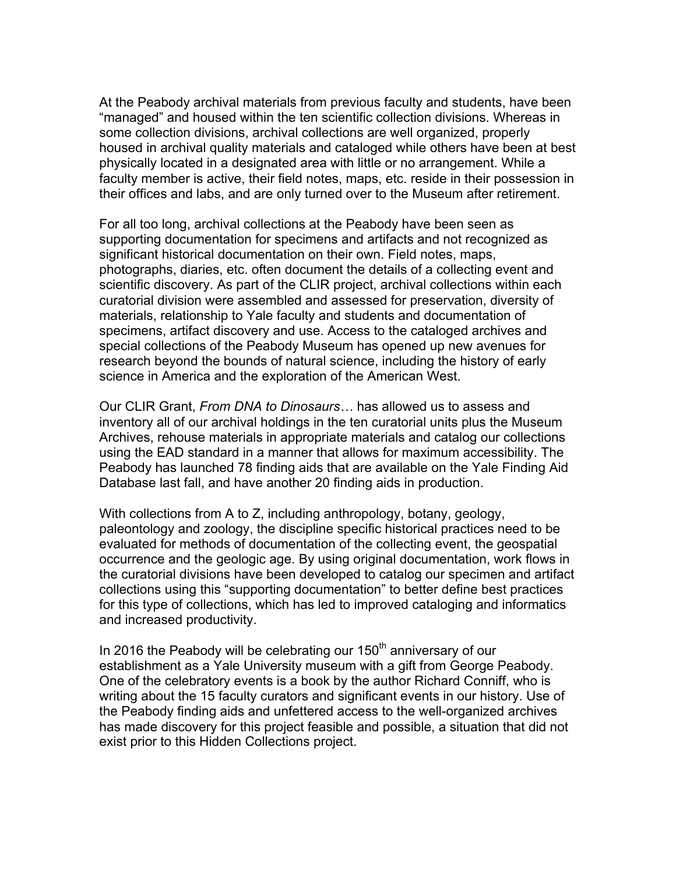At the Peabody archival materials from previous faculty and students, have been "managed" and housed within the ten scientific collection divisions. Whereas in some collection divisions, archival collections are well organized, properly housed in archival quality materials and cataloged while others have been at best physically located in a designated area with little or no arrangement. While a faculty member is active, their field notes, maps, etc. reside in their possession in their offices and labs, and are only turned over to the Museum after retirement.

For all too long, archival collections at the Peabody have been seen as supporting documentation for specimens and artifacts and not recognized as significant historical documentation on their own. Field notes, maps, photographs, diaries, etc. often document the details of a collecting event and scientific discovery. As part of the CLIR project, archival collections within each curatorial division were assembled and assessed for preservation, diversity of materials, relationship to Yale faculty and students and documentation of specimens, artifact discovery and use. Access to the cataloged archives and special collections of the Peabody Museum has opened up new avenues for research beyond the bounds of natural science, including the history of early science in America and the exploration of the American West.

Our CLIR Grant, *From DNA to Dinosaurs…* has allowed us to assess and inventory all of our archival holdings in the ten curatorial units plus the Museum Archives, rehouse materials in appropriate materials and catalog our collections using the EAD standard in a manner that allows for maximum accessibility. The Peabody has launched 78 finding aids that are available on the Yale Finding Aid Database last fall, and have another 20 finding aids in production.

With collections from A to Z, including anthropology, botany, geology, paleontology and zoology, the discipline specific historical practices need to be evaluated for methods of documentation of the collecting event, the geospatial occurrence and the geologic age. By using original documentation, work flows in the curatorial divisions have been developed to catalog our specimen and artifact collections using this "supporting documentation" to better define best practices for this type of collections, which has led to improved cataloging and informatics and increased productivity.

In 2016 the Peabody will be celebrating our  $150<sup>th</sup>$  anniversary of our establishment as a Yale University museum with a gift from George Peabody. One of the celebratory events is a book by the author Richard Conniff, who is writing about the 15 faculty curators and significant events in our history. Use of the Peabody finding aids and unfettered access to the well-organized archives has made discovery for this project feasible and possible, a situation that did not exist prior to this Hidden Collections project.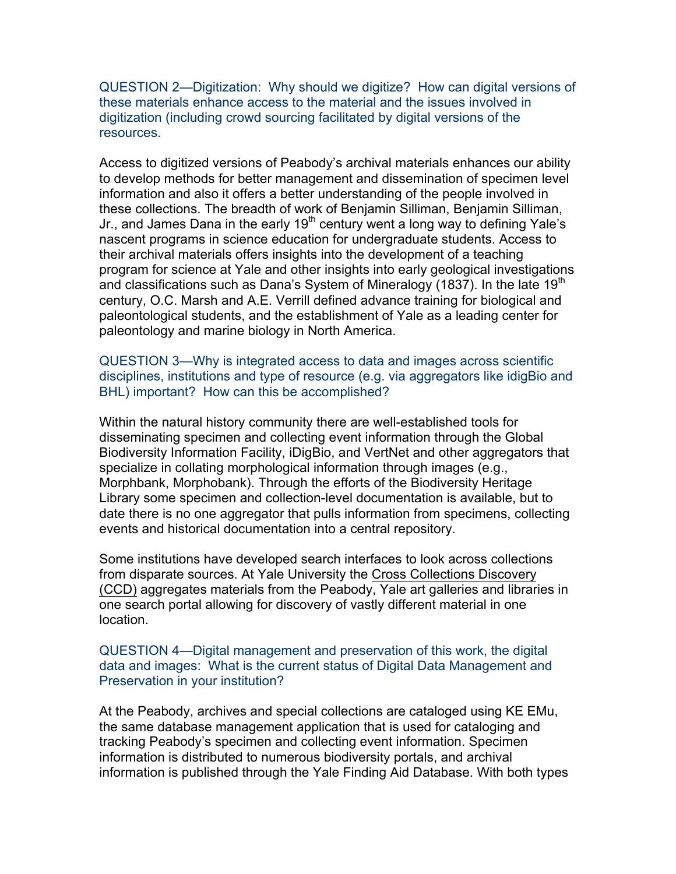QUESTION 2—Digitization: Why should we digitize? How can digital versions of these materials enhance access to the material and the issues involved in digitization (including crowd sourcing facilitated by digital versions of the resources.

Access to digitized versions of Peabody's archival materials enhances our ability to develop methods for better management and dissemination of specimen level information and also it offers a better understanding of the people involved in these collections. The breadth of work of Benjamin Silliman, Benjamin Silliman, Jr., and James Dana in the early  $19<sup>th</sup>$  century went a long way to defining Yale's nascent programs in science education for undergraduate students. Access to their archival materials offers insights into the development of a teaching program for science at Yale and other insights into early geological investigations and classifications such as Dana's System of Mineralogy (1837). In the late 19<sup>th</sup> century, O.C. Marsh and A.E. Verrill defined advance training for biological and paleontological students, and the establishment of Yale as a leading center for paleontology and marine biology in North America.

QUESTION 3—Why is integrated access to data and images across scientific disciplines, institutions and type of resource (e.g. via aggregators like idigBio and BHL) important? How can this be accomplished?

Within the natural history community there are well-established tools for disseminating specimen and collecting event information through the Global Biodiversity Information Facility, iDigBio, and VertNet and other aggregators that specialize in collating morphological information through images (e.g., Morphbank, Morphobank). Through the efforts of the Biodiversity Heritage Library some specimen and collection-level documentation is available, but to date there is no one aggregator that pulls information from specimens, collecting events and historical documentation into a central repository.

Some institutions have developed search interfaces to look across collections from disparate sources. At Yale University the Cross Collections Discovery (CCD) aggregates materials from the Peabody, Yale art galleries and libraries in one search portal allowing for discovery of vastly different material in one location.

## QUESTION 4—Digital management and preservation of this work, the digital data and images: What is the current status of Digital Data Management and Preservation in your institution?

At the Peabody, archives and special collections are cataloged using KE EMu, the same database management application that is used for cataloging and tracking Peabody's specimen and collecting event information. Specimen information is distributed to numerous biodiversity portals, and archival information is published through the Yale Finding Aid Database. With both types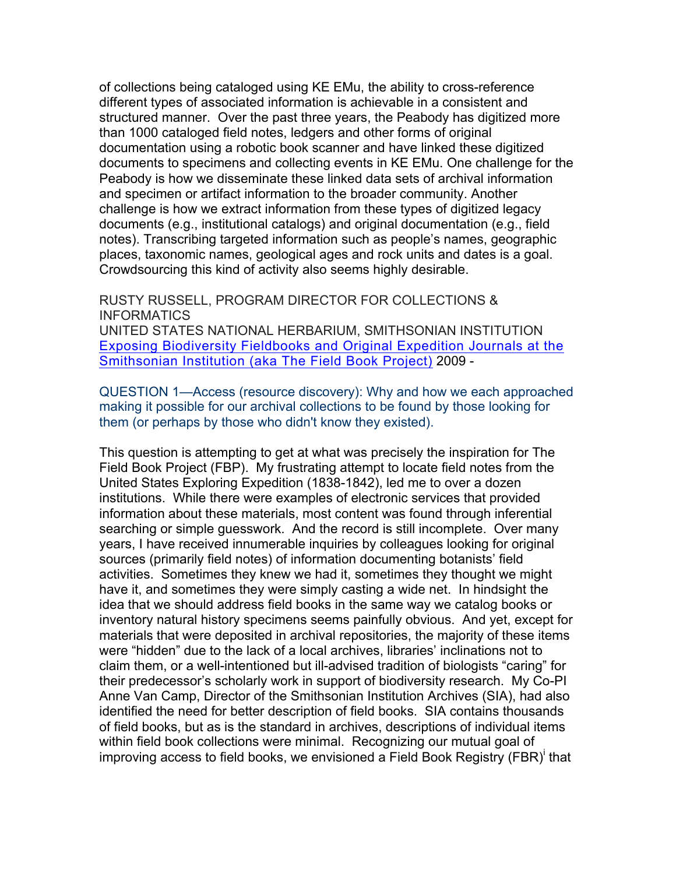of collections being cataloged using KE EMu, the ability to cross-reference different types of associated information is achievable in a consistent and structured manner. Over the past three years, the Peabody has digitized more than 1000 cataloged field notes, ledgers and other forms of original documentation using a robotic book scanner and have linked these digitized documents to specimens and collecting events in KE EMu. One challenge for the Peabody is how we disseminate these linked data sets of archival information and specimen or artifact information to the broader community. Another challenge is how we extract information from these types of digitized legacy documents (e.g., institutional catalogs) and original documentation (e.g., field notes). Transcribing targeted information such as people's names, geographic places, taxonomic names, geological ages and rock units and dates is a goal. Crowdsourcing this kind of activity also seems highly desirable.

RUSTY RUSSELL, PROGRAM DIRECTOR FOR COLLECTIONS & **INFORMATICS** 

UNITED STATES NATIONAL HERBARIUM, SMITHSONIAN INSTITUTION Exposing Biodiversity Fieldbooks and Original Expedition Journals at the Smithsonian Institution (aka The Field Book Project) 2009 -

QUESTION 1—Access (resource discovery): Why and how we each approached making it possible for our archival collections to be found by those looking for them (or perhaps by those who didn't know they existed).

This question is attempting to get at what was precisely the inspiration for The Field Book Project (FBP). My frustrating attempt to locate field notes from the United States Exploring Expedition (1838-1842), led me to over a dozen institutions. While there were examples of electronic services that provided information about these materials, most content was found through inferential searching or simple guesswork. And the record is still incomplete. Over many years, I have received innumerable inquiries by colleagues looking for original sources (primarily field notes) of information documenting botanists' field activities. Sometimes they knew we had it, sometimes they thought we might have it, and sometimes they were simply casting a wide net. In hindsight the idea that we should address field books in the same way we catalog books or inventory natural history specimens seems painfully obvious. And yet, except for materials that were deposited in archival repositories, the majority of these items were "hidden" due to the lack of a local archives, libraries' inclinations not to claim them, or a well-intentioned but ill-advised tradition of biologists "caring" for their predecessor's scholarly work in support of biodiversity research. My Co-PI Anne Van Camp, Director of the Smithsonian Institution Archives (SIA), had also identified the need for better description of field books. SIA contains thousands of field books, but as is the standard in archives, descriptions of individual items within field book collections were minimal. Recognizing our mutual goal of improving access to field books, we envisioned a Field Book Registry (FBR)<sup>i</sup> that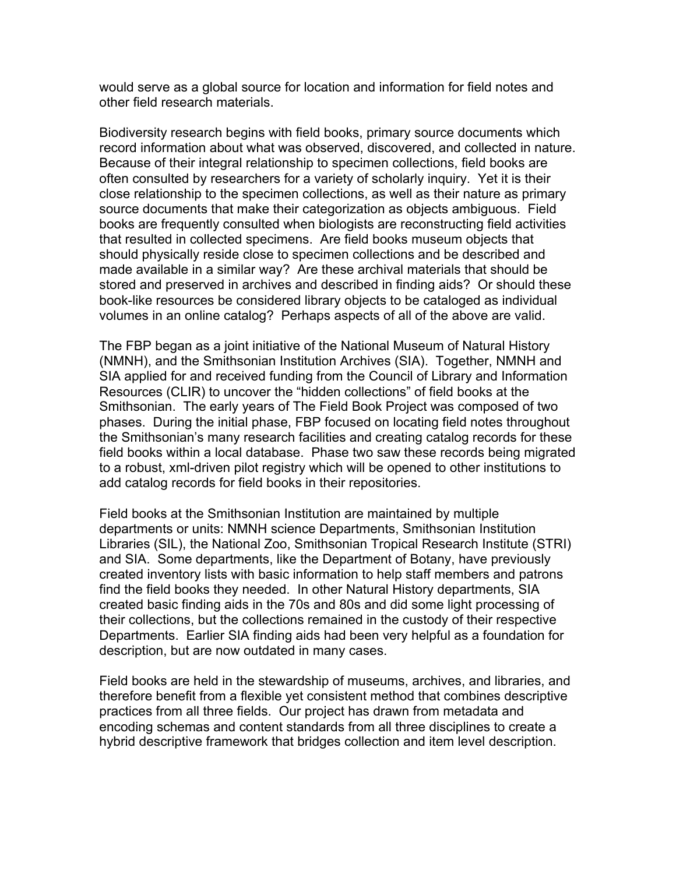would serve as a global source for location and information for field notes and other field research materials.

Biodiversity research begins with field books, primary source documents which record information about what was observed, discovered, and collected in nature. Because of their integral relationship to specimen collections, field books are often consulted by researchers for a variety of scholarly inquiry. Yet it is their close relationship to the specimen collections, as well as their nature as primary source documents that make their categorization as objects ambiguous. Field books are frequently consulted when biologists are reconstructing field activities that resulted in collected specimens. Are field books museum objects that should physically reside close to specimen collections and be described and made available in a similar way? Are these archival materials that should be stored and preserved in archives and described in finding aids? Or should these book-like resources be considered library objects to be cataloged as individual volumes in an online catalog? Perhaps aspects of all of the above are valid.

The FBP began as a joint initiative of the National Museum of Natural History (NMNH), and the Smithsonian Institution Archives (SIA). Together, NMNH and SIA applied for and received funding from the Council of Library and Information Resources (CLIR) to uncover the "hidden collections" of field books at the Smithsonian. The early years of The Field Book Project was composed of two phases. During the initial phase, FBP focused on locating field notes throughout the Smithsonian's many research facilities and creating catalog records for these field books within a local database. Phase two saw these records being migrated to a robust, xml-driven pilot registry which will be opened to other institutions to add catalog records for field books in their repositories.

Field books at the Smithsonian Institution are maintained by multiple departments or units: NMNH science Departments, Smithsonian Institution Libraries (SIL), the National Zoo, Smithsonian Tropical Research Institute (STRI) and SIA. Some departments, like the Department of Botany, have previously created inventory lists with basic information to help staff members and patrons find the field books they needed. In other Natural History departments, SIA created basic finding aids in the 70s and 80s and did some light processing of their collections, but the collections remained in the custody of their respective Departments. Earlier SIA finding aids had been very helpful as a foundation for description, but are now outdated in many cases.

Field books are held in the stewardship of museums, archives, and libraries, and therefore benefit from a flexible yet consistent method that combines descriptive practices from all three fields. Our project has drawn from metadata and encoding schemas and content standards from all three disciplines to create a hybrid descriptive framework that bridges collection and item level description.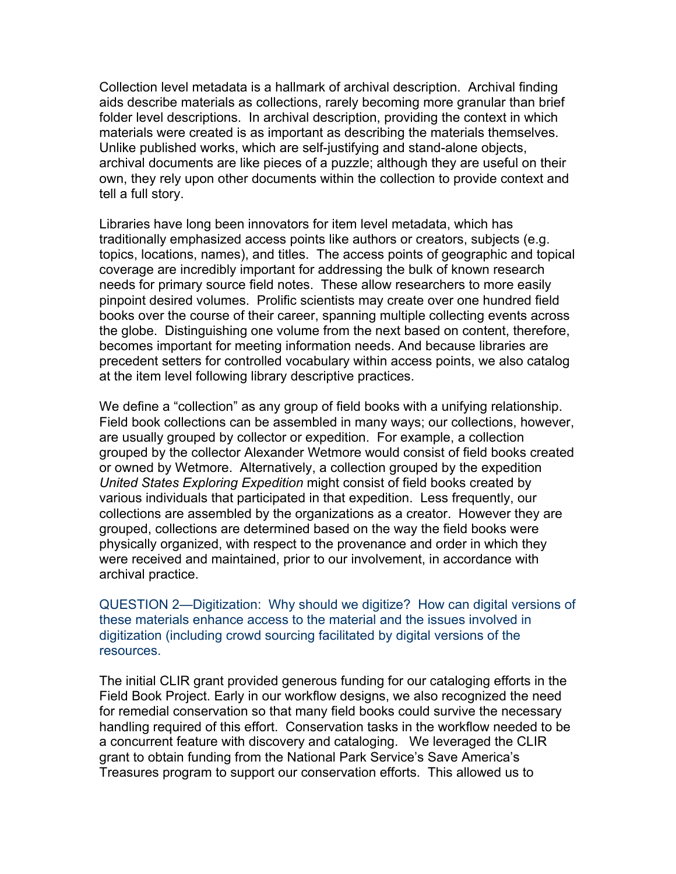Collection level metadata is a hallmark of archival description. Archival finding aids describe materials as collections, rarely becoming more granular than brief folder level descriptions. In archival description, providing the context in which materials were created is as important as describing the materials themselves. Unlike published works, which are self-justifying and stand-alone objects, archival documents are like pieces of a puzzle; although they are useful on their own, they rely upon other documents within the collection to provide context and tell a full story.

Libraries have long been innovators for item level metadata, which has traditionally emphasized access points like authors or creators, subjects (e.g. topics, locations, names), and titles. The access points of geographic and topical coverage are incredibly important for addressing the bulk of known research needs for primary source field notes. These allow researchers to more easily pinpoint desired volumes. Prolific scientists may create over one hundred field books over the course of their career, spanning multiple collecting events across the globe. Distinguishing one volume from the next based on content, therefore, becomes important for meeting information needs. And because libraries are precedent setters for controlled vocabulary within access points, we also catalog at the item level following library descriptive practices.

We define a "collection" as any group of field books with a unifying relationship. Field book collections can be assembled in many ways; our collections, however, are usually grouped by collector or expedition. For example, a collection grouped by the collector Alexander Wetmore would consist of field books created or owned by Wetmore. Alternatively, a collection grouped by the expedition *United States Exploring Expedition* might consist of field books created by various individuals that participated in that expedition. Less frequently, our collections are assembled by the organizations as a creator. However they are grouped, collections are determined based on the way the field books were physically organized, with respect to the provenance and order in which they were received and maintained, prior to our involvement, in accordance with archival practice.

QUESTION 2—Digitization: Why should we digitize? How can digital versions of these materials enhance access to the material and the issues involved in digitization (including crowd sourcing facilitated by digital versions of the resources.

The initial CLIR grant provided generous funding for our cataloging efforts in the Field Book Project. Early in our workflow designs, we also recognized the need for remedial conservation so that many field books could survive the necessary handling required of this effort. Conservation tasks in the workflow needed to be a concurrent feature with discovery and cataloging. We leveraged the CLIR grant to obtain funding from the National Park Service's Save America's Treasures program to support our conservation efforts. This allowed us to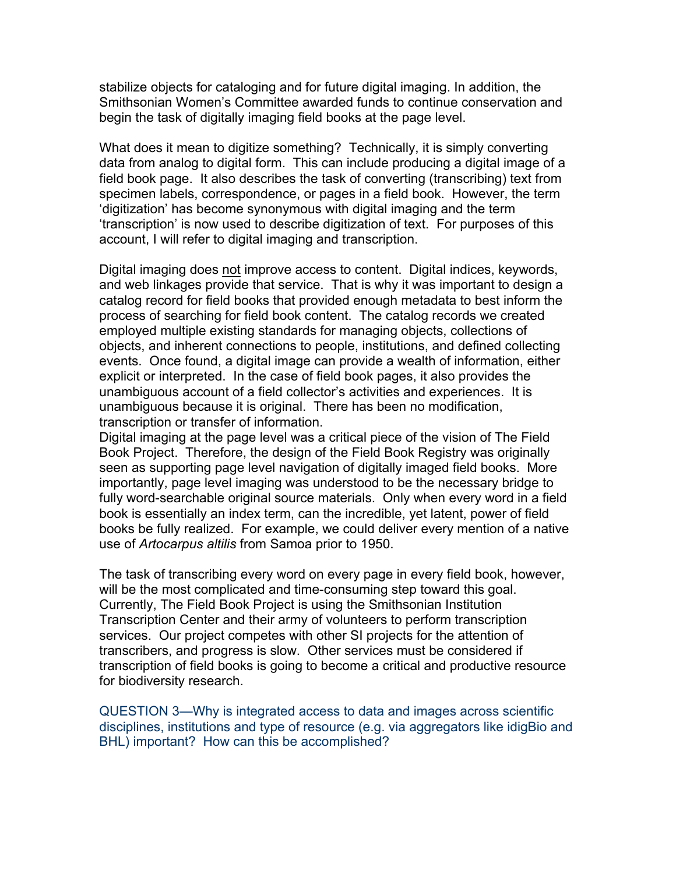stabilize objects for cataloging and for future digital imaging. In addition, the Smithsonian Women's Committee awarded funds to continue conservation and begin the task of digitally imaging field books at the page level.

What does it mean to digitize something? Technically, it is simply converting data from analog to digital form. This can include producing a digital image of a field book page. It also describes the task of converting (transcribing) text from specimen labels, correspondence, or pages in a field book. However, the term 'digitization' has become synonymous with digital imaging and the term 'transcription' is now used to describe digitization of text. For purposes of this account, I will refer to digital imaging and transcription.

Digital imaging does not improve access to content. Digital indices, keywords, and web linkages provide that service. That is why it was important to design a catalog record for field books that provided enough metadata to best inform the process of searching for field book content. The catalog records we created employed multiple existing standards for managing objects, collections of objects, and inherent connections to people, institutions, and defined collecting events. Once found, a digital image can provide a wealth of information, either explicit or interpreted. In the case of field book pages, it also provides the unambiguous account of a field collector's activities and experiences. It is unambiguous because it is original. There has been no modification, transcription or transfer of information.

Digital imaging at the page level was a critical piece of the vision of The Field Book Project. Therefore, the design of the Field Book Registry was originally seen as supporting page level navigation of digitally imaged field books. More importantly, page level imaging was understood to be the necessary bridge to fully word-searchable original source materials. Only when every word in a field book is essentially an index term, can the incredible, yet latent, power of field books be fully realized. For example, we could deliver every mention of a native use of *Artocarpus altilis* from Samoa prior to 1950.

The task of transcribing every word on every page in every field book, however, will be the most complicated and time-consuming step toward this goal. Currently, The Field Book Project is using the Smithsonian Institution Transcription Center and their army of volunteers to perform transcription services. Our project competes with other SI projects for the attention of transcribers, and progress is slow. Other services must be considered if transcription of field books is going to become a critical and productive resource for biodiversity research.

QUESTION 3—Why is integrated access to data and images across scientific disciplines, institutions and type of resource (e.g. via aggregators like idigBio and BHL) important? How can this be accomplished?